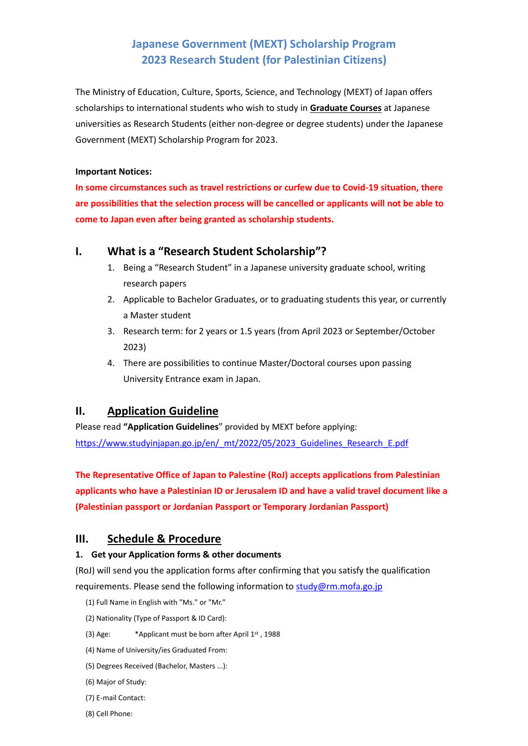# **Japanese Government (MEXT) Scholarship Program 2023 Research Student (for Palestinian Citizens)**

The Ministry of Education, Culture, Sports, Science, and Technology (MEXT) of Japan offers scholarships to international students who wish to study in **Graduate Courses** at Japanese universities as Research Students (either non-degree or degree students) under the Japanese Government (MEXT) Scholarship Program for 2023.

#### **Important Notices:**

**In some circumstances such as travel restrictions or curfew due to Covid-19 situation, there are possibilities that the selection process will be cancelled or applicants will not be able to come to Japan even after being granted as scholarship students.**

## **I. What is a "Research Student Scholarship"?**

- 1. Being a "Research Student" in a Japanese university graduate school, writing research papers
- 2. Applicable to Bachelor Graduates, or to graduating students this year, or currently a Master student
- 3. Research term: for 2 years or 1.5 years (from April 2023 or September/October 2023)
- 4. There are possibilities to continue Master/Doctoral courses upon passing University Entrance exam in Japan.

# **II. Application Guideline**

Please read **"Application Guidelines**" provided by MEXT before applying: [https://www.studyinjapan.go.jp/en/\\_mt/2022/05/2023\\_Guidelines\\_Research\\_E.pdf](https://www.studyinjapan.go.jp/en/_mt/2022/05/2023_Guidelines_Research_E.pdf)

**The Representative Office of Japan to Palestine (RoJ) accepts applications from Palestinian applicants who have a Palestinian ID or Jerusalem ID and have a valid travel document like a (Palestinian passport or Jordanian Passport or Temporary Jordanian Passport)** 

# **III. Schedule & Procedure**

### **1. Get your Application forms & other documents**

(RoJ) will send you the application forms after confirming that you satisfy the qualification requirements. Please send the following information to  $study@rm.mofa.gov.jp$ 

- (1) Full Name in English with "Ms." or "Mr."
- (2) Nationality (Type of Passport & ID Card):
- (3) Age: \*Applicant must be born after April 1st , 1988
- (4) Name of University/ies Graduated From:
- (5) Degrees Received (Bachelor, Masters ...):
- (6) Major of Study:
- (7) E-mail Contact:
- (8) Cell Phone: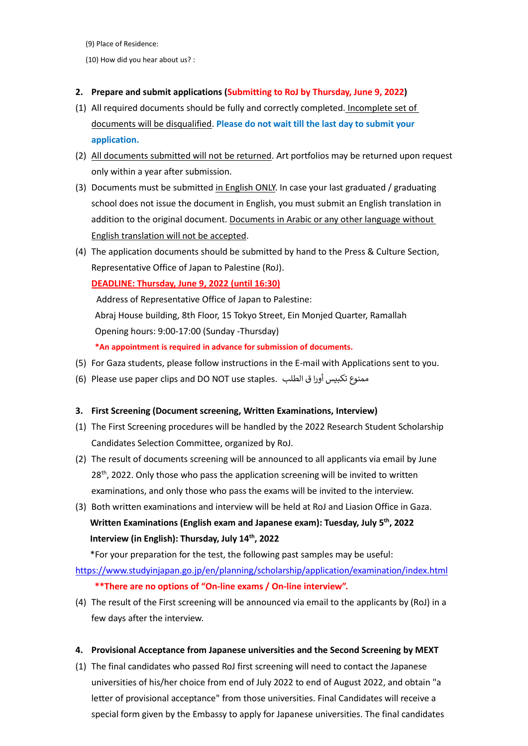(9) Place of Residence:

(10) How did you hear about us? :

#### **2. Prepare and submit applications (Submitting to RoJ by Thursday, June 9, 2022)**

- (1) All required documents should be fully and correctly completed. Incomplete set of documents will be disqualified. **Please do not wait till the last day to submit your application.**
- (2) All documents submitted will not be returned. Art portfolios may be returned upon request only within a year after submission.
- (3) Documents must be submitted in English ONLY. In case your last graduated / graduating school does not issue the document in English, you must submit an English translation in addition to the original document. Documents in Arabic or any other language without English translation will not be accepted.
- (4) The application documents should be submitted by hand to the Press & Culture Section, Representative Office of Japan to Palestine (RoJ).

#### **DEADLINE: Thursday, June 9, 2022 (until 16:30)**

Address of Representative Office of Japan to Palestine: Abraj House building, 8th Floor, 15 Tokyo Street, Ein Monjed Quarter, Ramallah Opening hours: 9:00-17:00 (Sunday -Thursday) **\*An appointment is required in advance for submission of documents.**

- (5) For Gaza students, please follow instructions in the E-mail with Applications sent to you.
- (6) Please use paper clips and DO NOT use staples. ممنوع تكبيس أورا ق الطلب

#### **3. First Screening (Document screening, Written Examinations, Interview)**

- (1) The First Screening procedures will be handled by the 2022 Research Student Scholarship Candidates Selection Committee, organized by RoJ.
- (2) The result of documents screening will be announced to all applicants via email by June 28<sup>th</sup>, 2022. Only those who pass the application screening will be invited to written examinations, and only those who pass the exams will be invited to the interview.
- (3) Both written examinations and interview will be held at RoJ and Liasion Office in Gaza.  **Written Examinations (English exam and Japanese exam): Tuesday, July 5 th , 2022 Interview (in English): Thursday, July 14th, 2022**

\*For your preparation for the test, the following past samples may be useful:

<https://www.studyinjapan.go.jp/en/planning/scholarship/application/examination/index.html> **\*\*There are no options of "On-line exams / On-line interview".**

(4) The result of the First screening will be announced via email to the applicants by (RoJ) in a few days after the interview.

#### **4. Provisional Acceptance from Japanese universities and the Second Screening by MEXT**

(1) The final candidates who passed RoJ first screening will need to contact the Japanese universities of his/her choice from end of July 2022 to end of August 2022, and obtain "a letter of provisional acceptance" from those universities. Final Candidates will receive a special form given by the Embassy to apply for Japanese universities. The final candidates